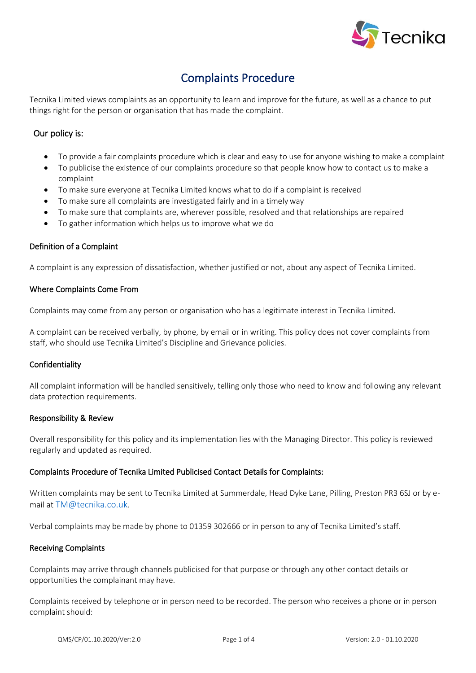

## Complaints Procedure

Tecnika Limited views complaints as an opportunity to learn and improve for the future, as well as a chance to put things right for the person or organisation that has made the complaint.

#### Our policy is:

- To provide a fair complaints procedure which is clear and easy to use for anyone wishing to make a complaint
- To publicise the existence of our complaints procedure so that people know how to contact us to make a complaint
- To make sure everyone at Tecnika Limited knows what to do if a complaint is received
- To make sure all complaints are investigated fairly and in a timely way
- To make sure that complaints are, wherever possible, resolved and that relationships are repaired
- To gather information which helps us to improve what we do

#### Definition of a Complaint

A complaint is any expression of dissatisfaction, whether justified or not, about any aspect of Tecnika Limited.

#### Where Complaints Come From

Complaints may come from any person or organisation who has a legitimate interest in Tecnika Limited.

A complaint can be received verbally, by phone, by email or in writing. This policy does not cover complaints from staff, who should use Tecnika Limited's Discipline and Grievance policies.

#### Confidentiality

All complaint information will be handled sensitively, telling only those who need to know and following any relevant data protection requirements.

#### Responsibility & Review

Overall responsibility for this policy and its implementation lies with the Managing Director. This policy is reviewed regularly and updated as required.

#### Complaints Procedure of Tecnika Limited Publicised Contact Details for Complaints:

Written complaints may be sent to Tecnika Limited at Summerdale, Head Dyke Lane, Pilling, Preston PR3 6SJ or by email at [TM@tecnika.co.uk](mailto:TM@tecnika.co.uk).

Verbal complaints may be made by phone to 01359 302666 or in person to any of Tecnika Limited's staff.

#### Receiving Complaints

Complaints may arrive through channels publicised for that purpose or through any other contact details or opportunities the complainant may have.

Complaints received by telephone or in person need to be recorded. The person who receives a phone or in person complaint should: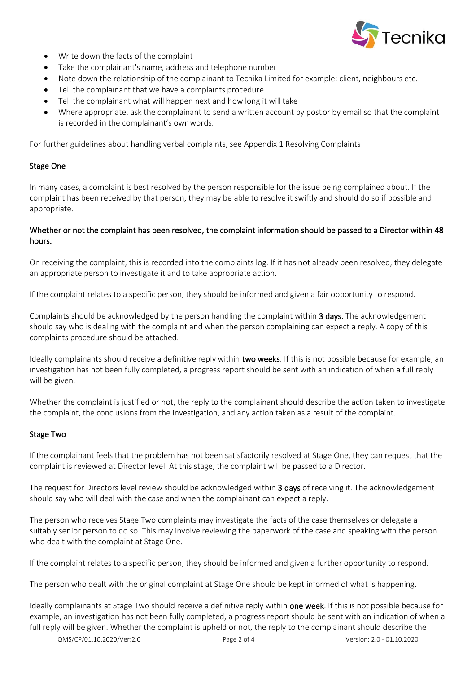

- Write down the facts of the complaint
- Take the complainant's name, address and telephone number
- Note down the relationship of the complainant to Tecnika Limited for example: client, neighbours etc.
- Tell the complainant that we have a complaints procedure
- Tell the complainant what will happen next and how long it will take
- Where appropriate, ask the complainant to send a written account by postor by email so that the complaint is recorded in the complainant's ownwords.

For further guidelines about handling verbal complaints, see Appendix 1 Resolving Complaints

#### Stage One

In many cases, a complaint is best resolved by the person responsible for the issue being complained about. If the complaint has been received by that person, they may be able to resolve it swiftly and should do so if possible and appropriate.

#### Whether or not the complaint has been resolved, the complaint information should be passed to a Director within 48 hours.

On receiving the complaint, this is recorded into the complaints log. If it has not already been resolved, they delegate an appropriate person to investigate it and to take appropriate action.

If the complaint relates to a specific person, they should be informed and given a fair opportunity to respond.

Complaints should be acknowledged by the person handling the complaint within 3 days. The acknowledgement should say who is dealing with the complaint and when the person complaining can expect a reply. A copy of this complaints procedure should be attached.

Ideally complainants should receive a definitive reply within two weeks. If this is not possible because for example, an investigation has not been fully completed, a progress report should be sent with an indication of when a full reply will be given.

Whether the complaint is justified or not, the reply to the complainant should describe the action taken to investigate the complaint, the conclusions from the investigation, and any action taken as a result of the complaint.

#### Stage Two

If the complainant feels that the problem has not been satisfactorily resolved at Stage One, they can request that the complaint is reviewed at Director level. At this stage, the complaint will be passed to a Director.

The request for Directors level review should be acknowledged within 3 days of receiving it. The acknowledgement should say who will deal with the case and when the complainant can expect a reply.

The person who receives Stage Two complaints may investigate the facts of the case themselves or delegate a suitably senior person to do so. This may involve reviewing the paperwork of the case and speaking with the person who dealt with the complaint at Stage One.

If the complaint relates to a specific person, they should be informed and given a further opportunity to respond.

The person who dealt with the original complaint at Stage One should be kept informed of what is happening.

Ideally complainants at Stage Two should receive a definitive reply within **one week**. If this is not possible because for example, an investigation has not been fully completed, a progress report should be sent with an indication of when a full reply will be given. Whether the complaint is upheld or not, the reply to the complainant should describe the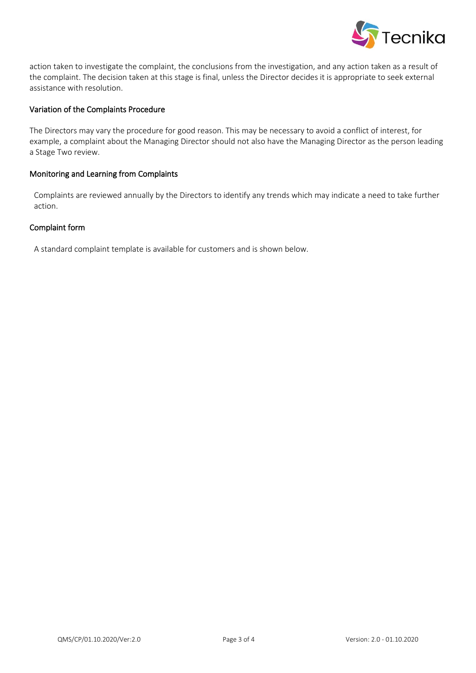

action taken to investigate the complaint, the conclusions from the investigation, and any action taken as a result of the complaint. The decision taken at this stage is final, unless the Director decides it is appropriate to seek external assistance with resolution.

#### Variation of the Complaints Procedure

The Directors may vary the procedure for good reason. This may be necessary to avoid a conflict of interest, for example, a complaint about the Managing Director should not also have the Managing Director as the person leading a Stage Two review.

#### Monitoring and Learning from Complaints

Complaints are reviewed annually by the Directors to identify any trends which may indicate a need to take further action.

#### Complaint form

A standard complaint template is available for customers and is shown below.